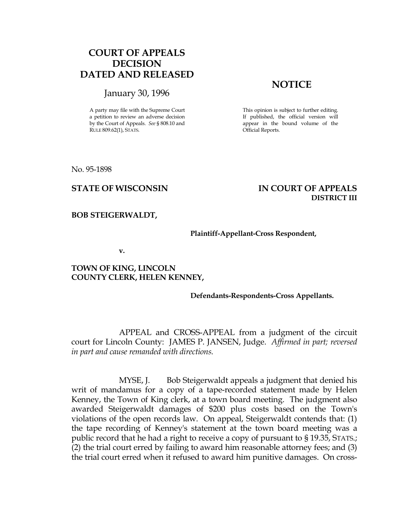# COURT OF APPEALS DECISION DATED AND RELEASED

# January 30, 1996

A party may file with the Supreme Court a petition to review an adverse decision by the Court of Appeals. See § 808.10 and RULE 809.62(1), STATS.

# **NOTICE**

This opinion is subject to further editing. If published, the official version will appear in the bound volume of the Official Reports.

No. 95-1898

# STATE OF WISCONSIN IN COURT OF APPEALS DISTRICT III

#### BOB STEIGERWALDT,

#### Plaintiff-Appellant-Cross Respondent,

v.

## TOWN OF KING, LINCOLN COUNTY CLERK, HELEN KENNEY,

### Defendants-Respondents-Cross Appellants.

 APPEAL and CROSS-APPEAL from a judgment of the circuit court for Lincoln County: JAMES P. JANSEN, Judge. Affirmed in part; reversed in part and cause remanded with directions.

MYSE, J. Bob Steigerwaldt appeals a judgment that denied his writ of mandamus for a copy of a tape-recorded statement made by Helen Kenney, the Town of King clerk, at a town board meeting. The judgment also awarded Steigerwaldt damages of \$200 plus costs based on the Town's violations of the open records law. On appeal, Steigerwaldt contends that: (1) the tape recording of Kenney's statement at the town board meeting was a public record that he had a right to receive a copy of pursuant to § 19.35, STATS.; (2) the trial court erred by failing to award him reasonable attorney fees; and (3) the trial court erred when it refused to award him punitive damages. On cross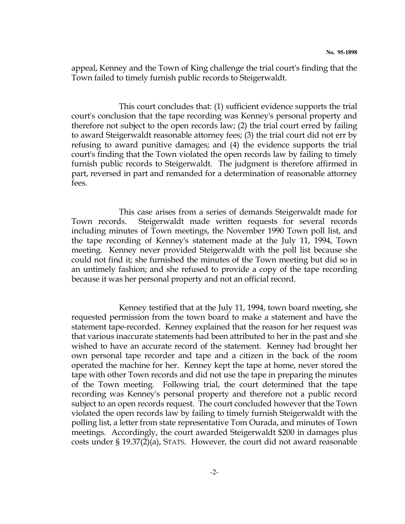appeal, Kenney and the Town of King challenge the trial court's finding that the Town failed to timely furnish public records to Steigerwaldt.

 This court concludes that: (1) sufficient evidence supports the trial court's conclusion that the tape recording was Kenney's personal property and therefore not subject to the open records law; (2) the trial court erred by failing to award Steigerwaldt reasonable attorney fees; (3) the trial court did not err by refusing to award punitive damages; and (4) the evidence supports the trial court's finding that the Town violated the open records law by failing to timely furnish public records to Steigerwaldt. The judgment is therefore affirmed in part, reversed in part and remanded for a determination of reasonable attorney fees.

 This case arises from a series of demands Steigerwaldt made for Town records. Steigerwaldt made written requests for several records including minutes of Town meetings, the November 1990 Town poll list, and the tape recording of Kenney's statement made at the July 11, 1994, Town meeting. Kenney never provided Steigerwaldt with the poll list because she could not find it; she furnished the minutes of the Town meeting but did so in an untimely fashion; and she refused to provide a copy of the tape recording because it was her personal property and not an official record.

 Kenney testified that at the July 11, 1994, town board meeting, she requested permission from the town board to make a statement and have the statement tape-recorded. Kenney explained that the reason for her request was that various inaccurate statements had been attributed to her in the past and she wished to have an accurate record of the statement. Kenney had brought her own personal tape recorder and tape and a citizen in the back of the room operated the machine for her. Kenney kept the tape at home, never stored the tape with other Town records and did not use the tape in preparing the minutes of the Town meeting. Following trial, the court determined that the tape recording was Kenney's personal property and therefore not a public record subject to an open records request. The court concluded however that the Town violated the open records law by failing to timely furnish Steigerwaldt with the polling list, a letter from state representative Tom Ourada, and minutes of Town meetings. Accordingly, the court awarded Steigerwaldt \$200 in damages plus costs under § 19.37(2)(a), STATS. However, the court did not award reasonable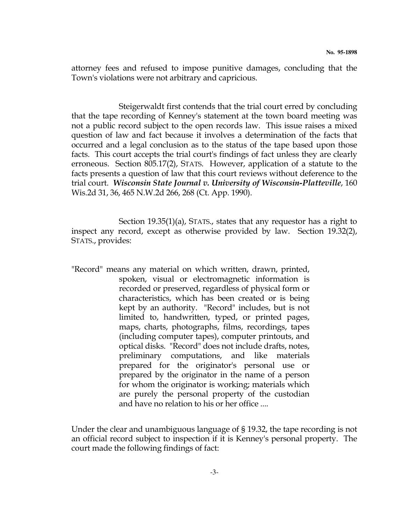attorney fees and refused to impose punitive damages, concluding that the Town's violations were not arbitrary and capricious.

 Steigerwaldt first contends that the trial court erred by concluding that the tape recording of Kenney's statement at the town board meeting was not a public record subject to the open records law. This issue raises a mixed question of law and fact because it involves a determination of the facts that occurred and a legal conclusion as to the status of the tape based upon those facts. This court accepts the trial court's findings of fact unless they are clearly erroneous. Section 805.17(2), STATS. However, application of a statute to the facts presents a question of law that this court reviews without deference to the trial court. Wisconsin State Journal v. University of Wisconsin-Platteville, 160 Wis.2d 31, 36, 465 N.W.2d 266, 268 (Ct. App. 1990).

 Section 19.35(1)(a), STATS., states that any requestor has a right to inspect any record, except as otherwise provided by law. Section 19.32(2), STATS., provides:

"Record" means any material on which written, drawn, printed, spoken, visual or electromagnetic information is recorded or preserved, regardless of physical form or characteristics, which has been created or is being kept by an authority. "Record" includes, but is not limited to, handwritten, typed, or printed pages, maps, charts, photographs, films, recordings, tapes (including computer tapes), computer printouts, and optical disks. "Record" does not include drafts, notes, preliminary computations, and like materials prepared for the originator's personal use or prepared by the originator in the name of a person for whom the originator is working; materials which are purely the personal property of the custodian and have no relation to his or her office ....

Under the clear and unambiguous language of § 19.32, the tape recording is not an official record subject to inspection if it is Kenney's personal property. The court made the following findings of fact: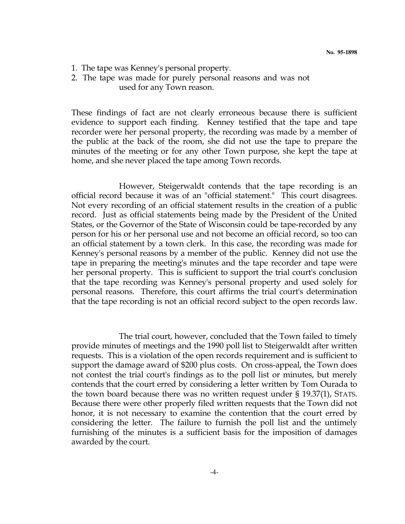- 1. The tape was Kenney's personal property.
- 2. The tape was made for purely personal reasons and was not used for any Town reason.

These findings of fact are not clearly erroneous because there is sufficient evidence to support each finding. Kenney testified that the tape and tape recorder were her personal property, the recording was made by a member of the public at the back of the room, she did not use the tape to prepare the minutes of the meeting or for any other Town purpose, she kept the tape at home, and she never placed the tape among Town records.

 However, Steigerwaldt contends that the tape recording is an official record because it was of an "official statement." This court disagrees. Not every recording of an official statement results in the creation of a public record. Just as official statements being made by the President of the United States, or the Governor of the State of Wisconsin could be tape-recorded by any person for his or her personal use and not become an official record, so too can an official statement by a town clerk. In this case, the recording was made for Kenney's personal reasons by a member of the public. Kenney did not use the tape in preparing the meeting's minutes and the tape recorder and tape were her personal property. This is sufficient to support the trial court's conclusion that the tape recording was Kenney's personal property and used solely for personal reasons. Therefore, this court affirms the trial court's determination that the tape recording is not an official record subject to the open records law.

 The trial court, however, concluded that the Town failed to timely provide minutes of meetings and the 1990 poll list to Steigerwaldt after written requests. This is a violation of the open records requirement and is sufficient to support the damage award of \$200 plus costs. On cross-appeal, the Town does not contest the trial court's findings as to the poll list or minutes, but merely contends that the court erred by considering a letter written by Tom Ourada to the town board because there was no written request under § 19.37(1), STATS. Because there were other properly filed written requests that the Town did not honor, it is not necessary to examine the contention that the court erred by considering the letter. The failure to furnish the poll list and the untimely furnishing of the minutes is a sufficient basis for the imposition of damages awarded by the court.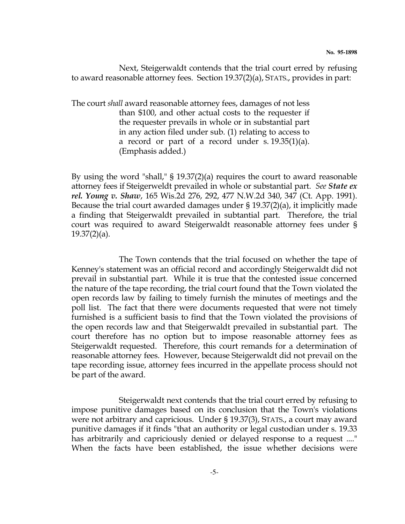Next, Steigerwaldt contends that the trial court erred by refusing to award reasonable attorney fees. Section 19.37(2)(a), STATS., provides in part:

The court shall award reasonable attorney fees, damages of not less than \$100, and other actual costs to the requester if the requester prevails in whole or in substantial part in any action filed under sub. (1) relating to access to a record or part of a record under s. 19.35(1)(a). (Emphasis added.)

By using the word "shall," § 19.37(2)(a) requires the court to award reasonable attorney fees if Steigerweldt prevailed in whole or substantial part. See State ex rel. Young v. Shaw, 165 Wis.2d 276, 292, 477 N.W.2d 340, 347 (Ct. App. 1991). Because the trial court awarded damages under § 19.37(2)(a), it implicitly made a finding that Steigerwaldt prevailed in subtantial part. Therefore, the trial court was required to award Steigerwaldt reasonable attorney fees under § 19.37(2)(a).

 The Town contends that the trial focused on whether the tape of Kenney's statement was an official record and accordingly Steigerwaldt did not prevail in substantial part. While it is true that the contested issue concerned the nature of the tape recording, the trial court found that the Town violated the open records law by failing to timely furnish the minutes of meetings and the poll list. The fact that there were documents requested that were not timely furnished is a sufficient basis to find that the Town violated the provisions of the open records law and that Steigerwaldt prevailed in substantial part. The court therefore has no option but to impose reasonable attorney fees as Steigerwaldt requested. Therefore, this court remands for a determination of reasonable attorney fees. However, because Steigerwaldt did not prevail on the tape recording issue, attorney fees incurred in the appellate process should not be part of the award.

 Steigerwaldt next contends that the trial court erred by refusing to impose punitive damages based on its conclusion that the Town's violations were not arbitrary and capricious. Under § 19.37(3), STATS., a court may award punitive damages if it finds "that an authority or legal custodian under s. 19.33 has arbitrarily and capriciously denied or delayed response to a request ...." When the facts have been established, the issue whether decisions were